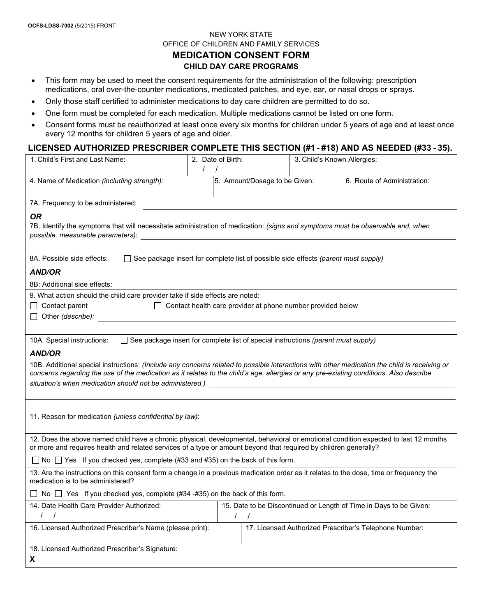## NEW YORK STATE OFFICE OF CHILDREN AND FAMILY SERVICES **MEDICATION CONSENT FORM CHILD DAY CARE PROGRAMS**

- This form may be used to meet the consent requirements for the administration of the following: prescription medications, oral over-the-counter medications, medicated patches, and eye, ear, or nasal drops or sprays.
- Only those staff certified to administer medications to day care children are permitted to do so.
- One form must be completed for each medication. Multiple medications cannot be listed on one form.
- Consent forms must be reauthorized at least once every six months for children under 5 years of age and at least once every 12 months for children 5 years of age and older.

### **LICENSED AUTHORIZED PRESCRIBER COMPLETE THIS SECTION (#1 - #18) AND AS NEEDED (#33 - 35).**

| 1. Child's First and Last Name:                                                                                                                                                                                                                                                                                                                                                                           | 2. Date of Birth: |                               | 3. Child's Known Allergies: |                                                                    |  |  |  |  |
|-----------------------------------------------------------------------------------------------------------------------------------------------------------------------------------------------------------------------------------------------------------------------------------------------------------------------------------------------------------------------------------------------------------|-------------------|-------------------------------|-----------------------------|--------------------------------------------------------------------|--|--|--|--|
| 4. Name of Medication (including strength):                                                                                                                                                                                                                                                                                                                                                               |                   | 5. Amount/Dosage to be Given: |                             | 6. Route of Administration:                                        |  |  |  |  |
| 7A. Frequency to be administered:                                                                                                                                                                                                                                                                                                                                                                         |                   |                               |                             |                                                                    |  |  |  |  |
| 0R<br>7B. Identify the symptoms that will necessitate administration of medication: (signs and symptoms must be observable and, when<br>possible, measurable parameters):<br><u> 1980 - Andrea Andrew Maria (h. 1980).</u>                                                                                                                                                                                |                   |                               |                             |                                                                    |  |  |  |  |
| $\Box$ See package insert for complete list of possible side effects (parent must supply)<br>8A. Possible side effects:                                                                                                                                                                                                                                                                                   |                   |                               |                             |                                                                    |  |  |  |  |
| <b>AND/OR</b>                                                                                                                                                                                                                                                                                                                                                                                             |                   |                               |                             |                                                                    |  |  |  |  |
| 8B: Additional side effects:                                                                                                                                                                                                                                                                                                                                                                              |                   |                               |                             |                                                                    |  |  |  |  |
| 9. What action should the child care provider take if side effects are noted:                                                                                                                                                                                                                                                                                                                             |                   |                               |                             |                                                                    |  |  |  |  |
| $\Box$ Contact parent<br>$\Box$ Contact health care provider at phone number provided below                                                                                                                                                                                                                                                                                                               |                   |                               |                             |                                                                    |  |  |  |  |
| Other (describe):<br><u> 1980 - Jan James James Barbara, martxa a shekara 1980 - Ang tsa na shekara 1980 - Ang tsa na shekara 1980 - </u>                                                                                                                                                                                                                                                                 |                   |                               |                             |                                                                    |  |  |  |  |
| $\Box$ See package insert for complete list of special instructions (parent must supply)<br>10A. Special instructions:                                                                                                                                                                                                                                                                                    |                   |                               |                             |                                                                    |  |  |  |  |
| <b>AND/OR</b>                                                                                                                                                                                                                                                                                                                                                                                             |                   |                               |                             |                                                                    |  |  |  |  |
| 10B. Additional special instructions: (Include any concerns related to possible interactions with other medication the child is receiving or<br>concerns regarding the use of the medication as it relates to the child's age, allergies or any pre-existing conditions. Also describe<br>situation's when medication should not be administered.) [1989] [2020] [2020] [2020] [2020] [2020] [2020] [2020 |                   |                               |                             |                                                                    |  |  |  |  |
|                                                                                                                                                                                                                                                                                                                                                                                                           |                   |                               |                             |                                                                    |  |  |  |  |
|                                                                                                                                                                                                                                                                                                                                                                                                           |                   |                               |                             |                                                                    |  |  |  |  |
| 11. Reason for medication (unless confidential by law):                                                                                                                                                                                                                                                                                                                                                   |                   |                               |                             |                                                                    |  |  |  |  |
|                                                                                                                                                                                                                                                                                                                                                                                                           |                   |                               |                             |                                                                    |  |  |  |  |
| 12. Does the above named child have a chronic physical, developmental, behavioral or emotional condition expected to last 12 months<br>or more and requires health and related services of a type or amount beyond that required by children generally?                                                                                                                                                   |                   |                               |                             |                                                                    |  |  |  |  |
| $\Box$ No $\Box$ Yes If you checked yes, complete (#33 and #35) on the back of this form.                                                                                                                                                                                                                                                                                                                 |                   |                               |                             |                                                                    |  |  |  |  |
| 13. Are the instructions on this consent form a change in a previous medication order as it relates to the dose, time or frequency the<br>medication is to be administered?                                                                                                                                                                                                                               |                   |                               |                             |                                                                    |  |  |  |  |
| ◯ No ◯ Yes If you checked yes, complete (#34 -#35) on the back of this form.                                                                                                                                                                                                                                                                                                                              |                   |                               |                             |                                                                    |  |  |  |  |
| 14. Date Health Care Provider Authorized:                                                                                                                                                                                                                                                                                                                                                                 |                   |                               |                             | 15. Date to be Discontinued or Length of Time in Days to be Given: |  |  |  |  |
|                                                                                                                                                                                                                                                                                                                                                                                                           |                   | $\prime$                      |                             |                                                                    |  |  |  |  |
| 16. Licensed Authorized Prescriber's Name (please print):                                                                                                                                                                                                                                                                                                                                                 |                   |                               |                             | 17. Licensed Authorized Prescriber's Telephone Number:             |  |  |  |  |
| 18. Licensed Authorized Prescriber's Signature:                                                                                                                                                                                                                                                                                                                                                           |                   |                               |                             |                                                                    |  |  |  |  |
| X                                                                                                                                                                                                                                                                                                                                                                                                         |                   |                               |                             |                                                                    |  |  |  |  |
|                                                                                                                                                                                                                                                                                                                                                                                                           |                   |                               |                             |                                                                    |  |  |  |  |